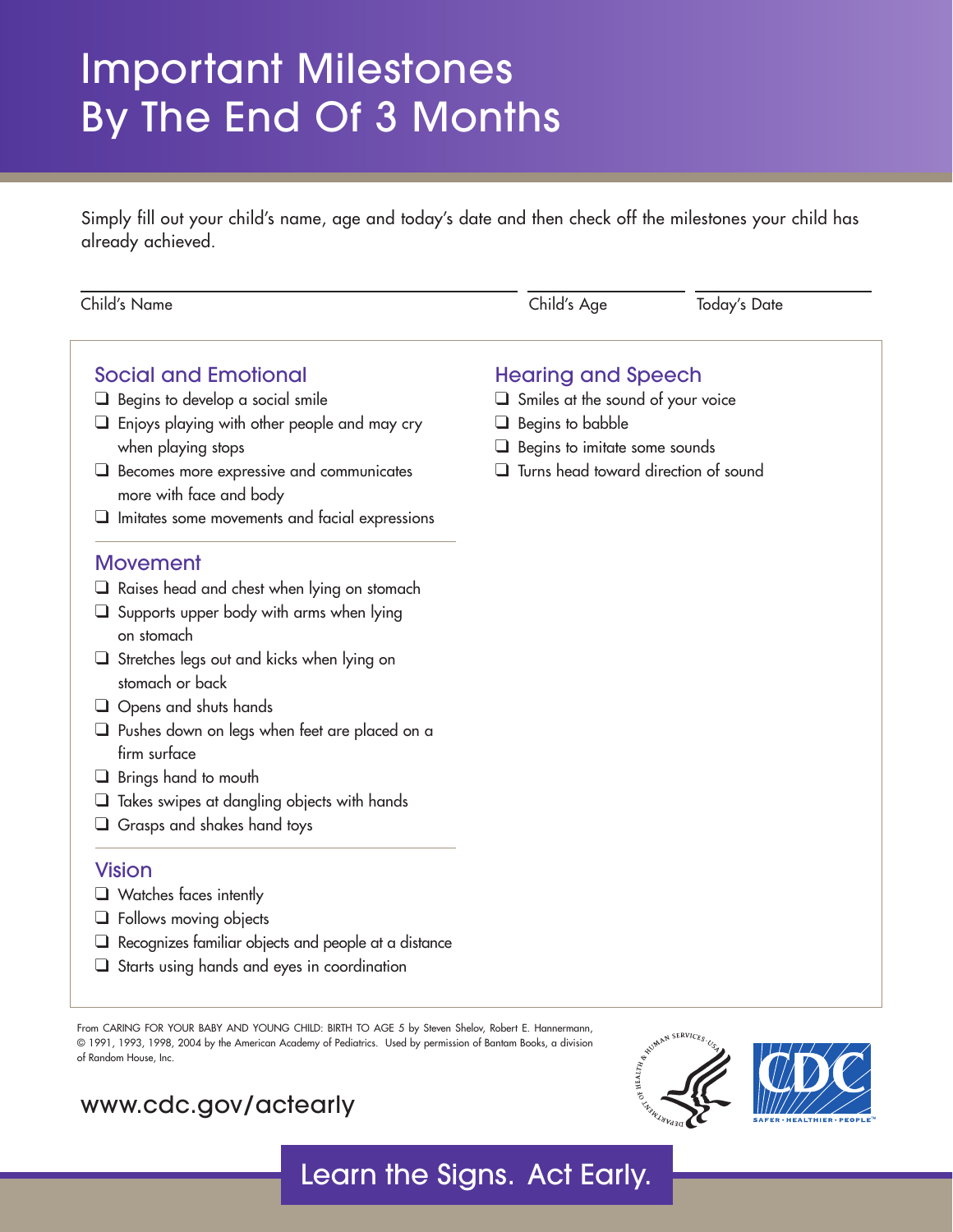# Important Milestones By The End Of 3 Months

Simply fill out your child's name, age and today's date and then check off the milestones your child has already achieved.

| Child's Name                                                                                                                                                                                                                   | Child's Age                                 | <b>Today's Date</b> |
|--------------------------------------------------------------------------------------------------------------------------------------------------------------------------------------------------------------------------------|---------------------------------------------|---------------------|
| <b>Social and Emotional</b>                                                                                                                                                                                                    | <b>Hearing and Speech</b>                   |                     |
| Begins to develop a social smile                                                                                                                                                                                               | $\Box$ Smiles at the sound of your voice    |                     |
| Enjoys playing with other people and may cry                                                                                                                                                                                   | Begins to babble<br>⊔                       |                     |
| when playing stops                                                                                                                                                                                                             | Begins to imitate some sounds               |                     |
| Becomes more expressive and communicates<br>⊔<br>more with face and body                                                                                                                                                       | $\Box$ Turns head toward direction of sound |                     |
| Imitates some movements and facial expressions                                                                                                                                                                                 |                                             |                     |
| <b>Movement</b>                                                                                                                                                                                                                |                                             |                     |
| $\Box$ Raises head and chest when lying on stomach                                                                                                                                                                             |                                             |                     |
| $\Box$ Supports upper body with arms when lying<br>on stomach                                                                                                                                                                  |                                             |                     |
| Stretches legs out and kicks when lying on                                                                                                                                                                                     |                                             |                     |
| stomach or back                                                                                                                                                                                                                |                                             |                     |
| Opens and shuts hands<br>⊔                                                                                                                                                                                                     |                                             |                     |
| Pushes down on legs when feet are placed on a<br>firm surface                                                                                                                                                                  |                                             |                     |
| Brings hand to mouth<br>⊔                                                                                                                                                                                                      |                                             |                     |
| $\Box$ Takes swipes at dangling objects with hands                                                                                                                                                                             |                                             |                     |
| $\Box$ Grasps and shakes hand toys                                                                                                                                                                                             |                                             |                     |
| <b>Vision</b>                                                                                                                                                                                                                  |                                             |                     |
| $\Box$ Watches faces intently                                                                                                                                                                                                  |                                             |                     |
| <b>Sollows moving objects</b>                                                                                                                                                                                                  |                                             |                     |
| and the contract of the contract of the contract of the contract of the contract of the contract of the contract of the contract of the contract of the contract of the contract of the contract of the contract of the contra |                                             |                     |

- ❑ Recognizes familiar objects and people at a distance
- ❑ Starts using hands and eyes in coordination

From CARING FOR YOUR BABY AND YOUNG CHILD: BIRTH TO AGE 5 by Steven Shelov, Robert E. Hannermann, © 1991, 1993, 1998, 2004 by the American Academy of Pediatrics. Used by permission of Bantam Books, a division of Random House, Inc.

### <www.cdc.gov/actearly>



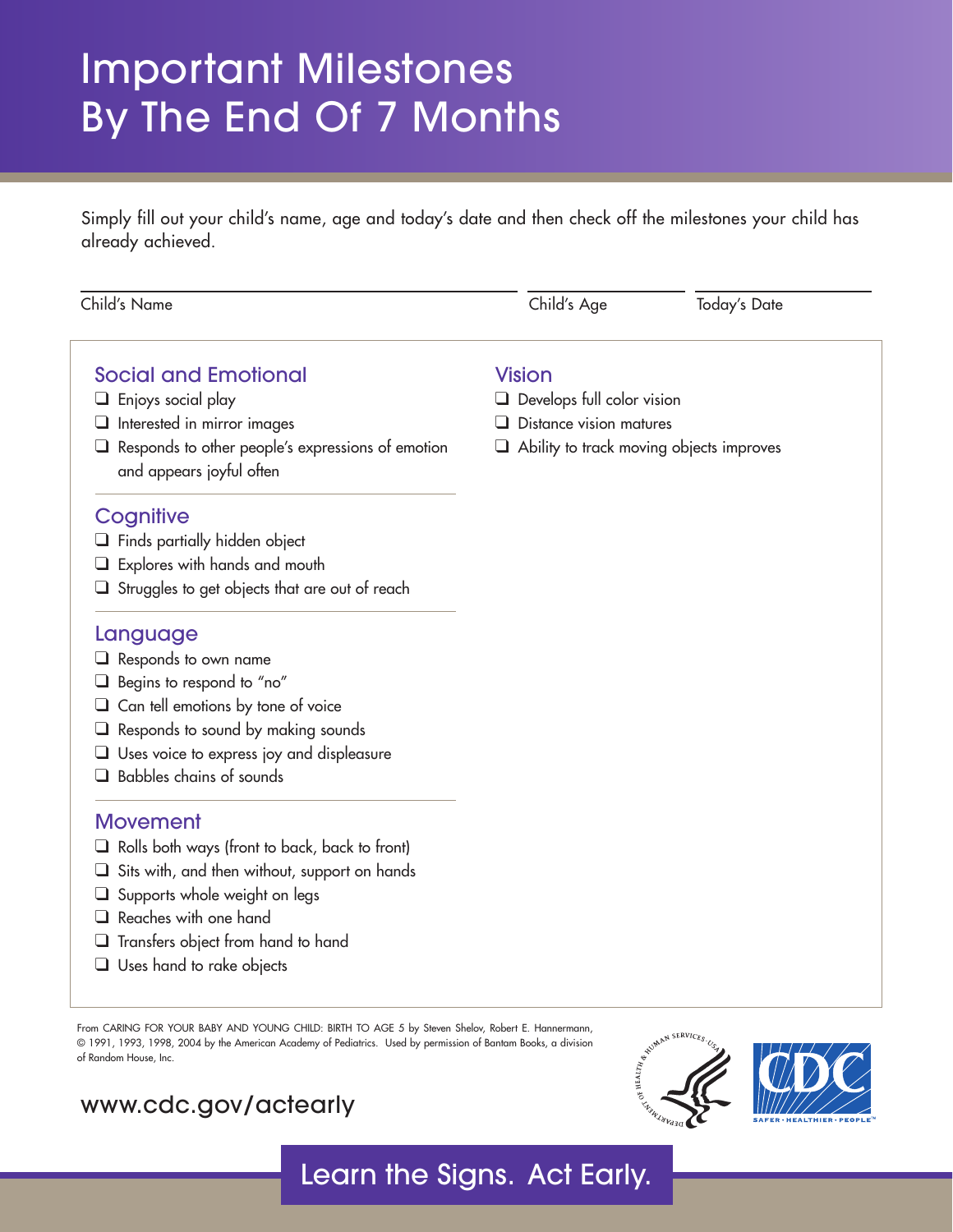# Important Milestones By The End Of 7 Months

Simply fill out your child's name, age and today's date and then check off the milestones your child has already achieved.

| Child's Name                                                                                                                                                                                                                                 | Child's Age                                        | <b>Today's Date</b> |
|----------------------------------------------------------------------------------------------------------------------------------------------------------------------------------------------------------------------------------------------|----------------------------------------------------|---------------------|
| <b>Social and Emotional</b>                                                                                                                                                                                                                  | <b>Vision</b>                                      |                     |
| $\Box$ Enjoys social play                                                                                                                                                                                                                    | $\Box$ Develops full color vision                  |                     |
| $\Box$ Interested in mirror images                                                                                                                                                                                                           | Distance vision matures                            |                     |
| $\Box$ Responds to other people's expressions of emotion<br>and appears joyful often                                                                                                                                                         | Ability to track moving objects improves<br>$\Box$ |                     |
| Cognitive                                                                                                                                                                                                                                    |                                                    |                     |
| $\Box$ Finds partially hidden object                                                                                                                                                                                                         |                                                    |                     |
| Explores with hands and mouth                                                                                                                                                                                                                |                                                    |                     |
| $\Box$ Struggles to get objects that are out of reach                                                                                                                                                                                        |                                                    |                     |
| Language                                                                                                                                                                                                                                     |                                                    |                     |
| $\Box$ Responds to own name                                                                                                                                                                                                                  |                                                    |                     |
| Begins to respond to "no"<br>⊔                                                                                                                                                                                                               |                                                    |                     |
| $\Box$ Can tell emotions by tone of voice                                                                                                                                                                                                    |                                                    |                     |
| Responds to sound by making sounds                                                                                                                                                                                                           |                                                    |                     |
| $\Box$ Uses voice to express joy and displeasure                                                                                                                                                                                             |                                                    |                     |
| Babbles chains of sounds<br>l 1                                                                                                                                                                                                              |                                                    |                     |
| <b>Movement</b>                                                                                                                                                                                                                              |                                                    |                     |
| $\Box$ Rolls both ways (front to back, back to front)                                                                                                                                                                                        |                                                    |                     |
| Sits with, and then without, support on hands<br>u                                                                                                                                                                                           |                                                    |                     |
| Supports whole weight on legs                                                                                                                                                                                                                |                                                    |                     |
| Reaches with one hand                                                                                                                                                                                                                        |                                                    |                     |
| $\Box$ Transfers object from hand to hand                                                                                                                                                                                                    |                                                    |                     |
| $\Box$ Uses hand to rake objects                                                                                                                                                                                                             |                                                    |                     |
| From CARING FOR YOUR BABY AND YOUNG CHILD: BIRTH TO AGE 5 by Steven Shelov, Robert E. Hannermann,<br>© 1991, 1993, 1998, 2004 by the American Academy of Pediatrics. Used by permission of Bantam Books, a division<br>of Random House, Inc. |                                                    | WIMAN SERVICES.     |

Learn the Signs. Act Early.

#### <www.cdc.gov/actearly>



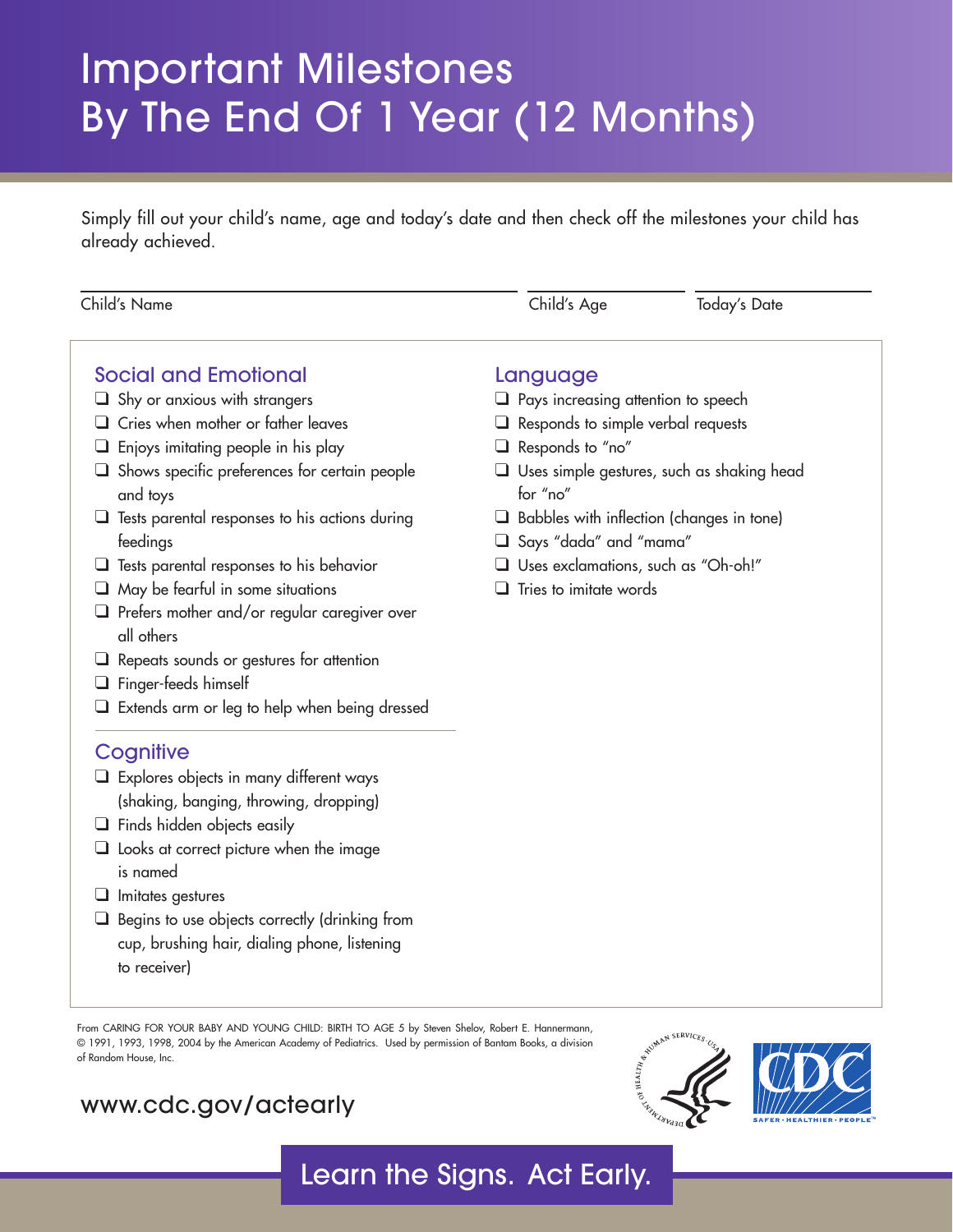# Important Milestones By The End Of 1 Year (12 Months)

Simply fill out your child's name, age and today's date and then check off the milestones your child has already achieved.

| Child's Name                                                      | Child's Age                                                                  | <b>Today's Date</b> |
|-------------------------------------------------------------------|------------------------------------------------------------------------------|---------------------|
| <b>Social and Emotional</b>                                       | Language                                                                     |                     |
| $\Box$ Shy or anxious with strangers                              | $\Box$ Pays increasing attention to speech                                   |                     |
| $\Box$ Cries when mother or father leaves                         | $\Box$ Responds to simple verbal requests                                    |                     |
| Enjoys imitating people in his play                               | Responds to "no"                                                             |                     |
| $\Box$ Shows specific preferences for certain people<br>and toys  | $\Box$ Uses simple gestures, such as shaking head<br>for "no"                |                     |
| $\Box$ Tests parental responses to his actions during<br>feedings | $\Box$ Babbles with inflection (changes in tone)<br>□ Says "dada" and "mama" |                     |
| $\Box$ Tests parental responses to his behavior                   | Uses exclamations, such as "Oh-oh!"                                          |                     |
| $\Box$ May be fearful in some situations                          | Tries to imitate words                                                       |                     |
| $\Box$ Prefers mother and/or regular caregiver over<br>all others |                                                                              |                     |
| $\Box$ Repeats sounds or gestures for attention                   |                                                                              |                     |
| $\Box$ Finger-feeds himself                                       |                                                                              |                     |
| $\Box$ Extends arm or leg to help when being dressed              |                                                                              |                     |
| Cognitive                                                         |                                                                              |                     |
| $\Box$ Explores objects in many different ways                    |                                                                              |                     |
| (shaking, banging, throwing, dropping)                            |                                                                              |                     |
| $\Box$ Finds hidden objects easily                                |                                                                              |                     |
| $\Box$ Looks at correct picture when the image                    |                                                                              |                     |
| is named                                                          |                                                                              |                     |
| $\Box$ Imitates gestures                                          |                                                                              |                     |
| $\Box$ Begins to use objects correctly (drinking from             |                                                                              |                     |
| cup, brushing hair, dialing phone, listening                      |                                                                              |                     |
| to receiver)                                                      |                                                                              |                     |

From CARING FOR YOUR BABY AND YOUNG CHILD: BIRTH TO AGE 5 by Steven Shelov, Robert E. Hannermann, © 1991, 1993, 1998, 2004 by the American Academy of Pediatrics. Used by permission of Bantam Books, a division of Random House, Inc.

#### <www.cdc.gov/actearly>



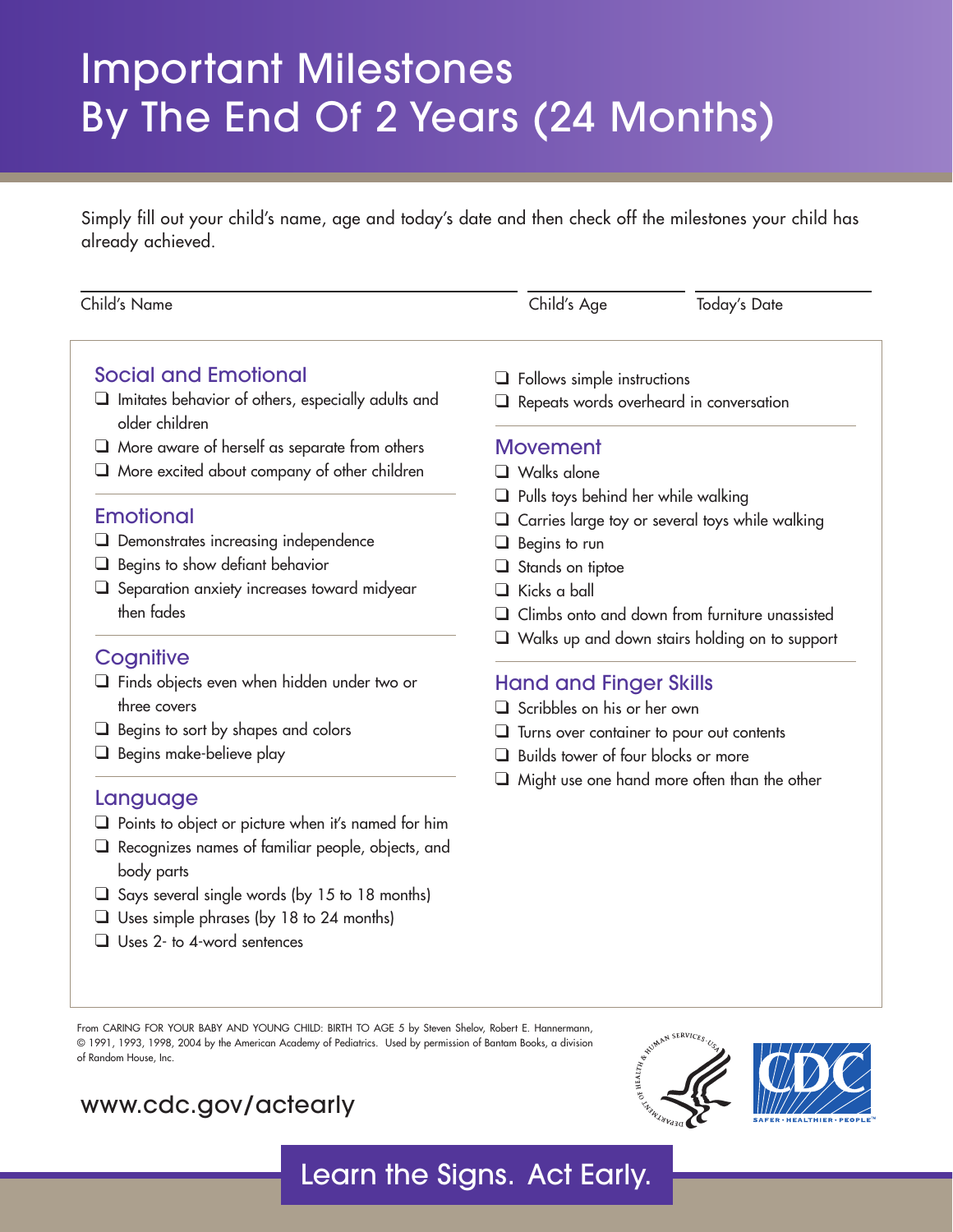# Important Milestones By The End Of 2 Years (24 Months)

Simply fill out your child's name, age and today's date and then check off the milestones your child has already achieved.

| Child's Name                                                                | Child's Age                                     | Today's Date                                          |
|-----------------------------------------------------------------------------|-------------------------------------------------|-------------------------------------------------------|
| <b>Social and Emotional</b>                                                 | Follows simple instructions                     |                                                       |
| $\Box$ Imitates behavior of others, especially adults and<br>older children | Repeats words overheard in conversation         |                                                       |
| $\Box$ More aware of herself as separate from others                        | <b>Movement</b>                                 |                                                       |
| More excited about company of other children                                | $\Box$ Walks alone                              |                                                       |
|                                                                             | Pulls toys behind her while walking             |                                                       |
| <b>Emotional</b>                                                            | Carries large toy or several toys while walking |                                                       |
| Demonstrates increasing independence                                        | Begins to run<br>ப                              |                                                       |
| Begins to show defiant behavior                                             | Stands on tiptoe                                |                                                       |
| Separation anxiety increases toward midyear                                 | Kicks a ball<br>$\blacksquare$                  |                                                       |
| then fades                                                                  |                                                 | Climbs onto and down from furniture unassisted        |
| Cognitive                                                                   |                                                 | $\Box$ Walks up and down stairs holding on to support |
| $\Box$ Finds objects even when hidden under two or                          | <b>Hand and Finger Skills</b>                   |                                                       |
| three covers                                                                | Scribbles on his or her own                     |                                                       |
| Begins to sort by shapes and colors                                         | Turns over container to pour out contents       |                                                       |
| Begins make-believe play                                                    | Builds tower of four blocks or more<br>H        |                                                       |
|                                                                             |                                                 | Might use one hand more often than the other          |
| Language                                                                    |                                                 |                                                       |
| $\Box$ Points to object or picture when it's named for him                  |                                                 |                                                       |

❑ Recognizes names of familiar people, objects, and

❑ Says several single words (by 15 to 18 months) ❑ Uses simple phrases (by 18 to 24 months)

From CARING FOR YOUR BABY AND YOUNG CHILD: BIRTH TO AGE 5 by Steven Shelov, Robert E. Hannermann, © 1991, 1993, 1998, 2004 by the American Academy of Pediatrics. Used by permission of Bantam Books, a division of Random House, Inc.

### <www.cdc.gov/actearly>

❑ Uses 2- to 4-word sentences

body parts



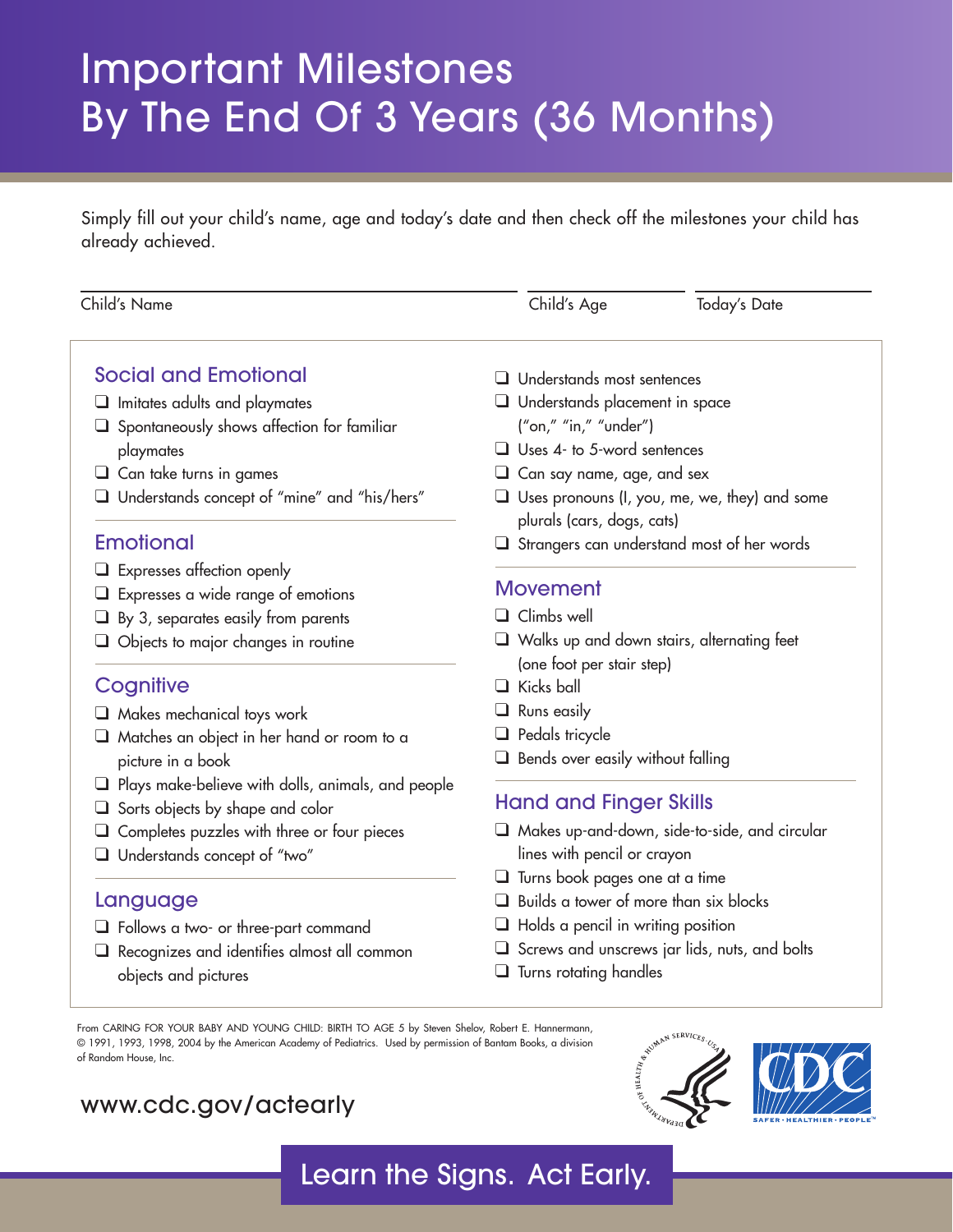# Important Milestones By The End Of 3 Years (36 Months)

Simply fill out your child's name, age and today's date and then check off the milestones your child has already achieved.

| Child's Name                                              | Child's Age                                                                        | <b>Today's Date</b> |
|-----------------------------------------------------------|------------------------------------------------------------------------------------|---------------------|
| <b>Social and Emotional</b>                               | $\Box$ Understands most sentences                                                  |                     |
| $\Box$ Imitates adults and playmates                      | Understands placement in space                                                     |                     |
| $\Box$ Spontaneously shows affection for familiar         | ("on," "in," "under")                                                              |                     |
| playmates                                                 | $\Box$ Uses 4- to 5-word sentences                                                 |                     |
| $\Box$ Can take turns in games                            | $\Box$ Can say name, age, and sex                                                  |                     |
| Understands concept of "mine" and "his/hers"              | $\Box$ Uses pronouns (I, you, me, we, they) and some<br>plurals (cars, dogs, cats) |                     |
| Emotional                                                 | $\Box$ Strangers can understand most of her words                                  |                     |
| $\Box$ Expresses affection openly                         |                                                                                    |                     |
| $\Box$ Expresses a wide range of emotions                 | <b>Movement</b>                                                                    |                     |
| $\Box$ By 3, separates easily from parents                | $\Box$ Climbs well                                                                 |                     |
| $\Box$ Objects to major changes in routine                | Walks up and down stairs, alternating feet<br>(one foot per stair step)            |                     |
| Cognitive                                                 | $\Box$ Kicks ball                                                                  |                     |
| $\Box$ Makes mechanical toys work                         | $\Box$ Runs easily                                                                 |                     |
| $\Box$ Matches an object in her hand or room to a         | $\Box$ Pedals tricycle                                                             |                     |
| picture in a book                                         | $\Box$ Bends over easily without falling                                           |                     |
| $\Box$ Plays make-believe with dolls, animals, and people |                                                                                    |                     |
| $\Box$ Sorts objects by shape and color                   | <b>Hand and Finger Skills</b>                                                      |                     |
| $\Box$ Completes puzzles with three or four pieces        | $\Box$ Makes up-and-down, side-to-side, and circular                               |                     |
| Understands concept of "two"                              | lines with pencil or crayon                                                        |                     |
|                                                           | $\Box$ Turns book pages one at a time                                              |                     |
| Language                                                  | $\Box$ Builds a tower of more than six blocks                                      |                     |
| $\Box$ Follows a two- or three-part command               | $\Box$ Holds a pencil in writing position                                          |                     |
| $\Box$ Recognizes and identifies almost all common        | $\Box$ Screws and unscrews jar lids, nuts, and bolts                               |                     |
| objects and pictures                                      | $\Box$ Turns rotating handles                                                      |                     |

Learn the Signs. Act Early.

From CARING FOR YOUR BABY AND YOUNG CHILD: BIRTH TO AGE 5 by Steven Shelov, Robert E. Hannermann, © 1991, 1993, 1998, 2004 by the American Academy of Pediatrics. Used by permission of Bantam Books, a division of Random House, Inc.

#### <www.cdc.gov/actearly>



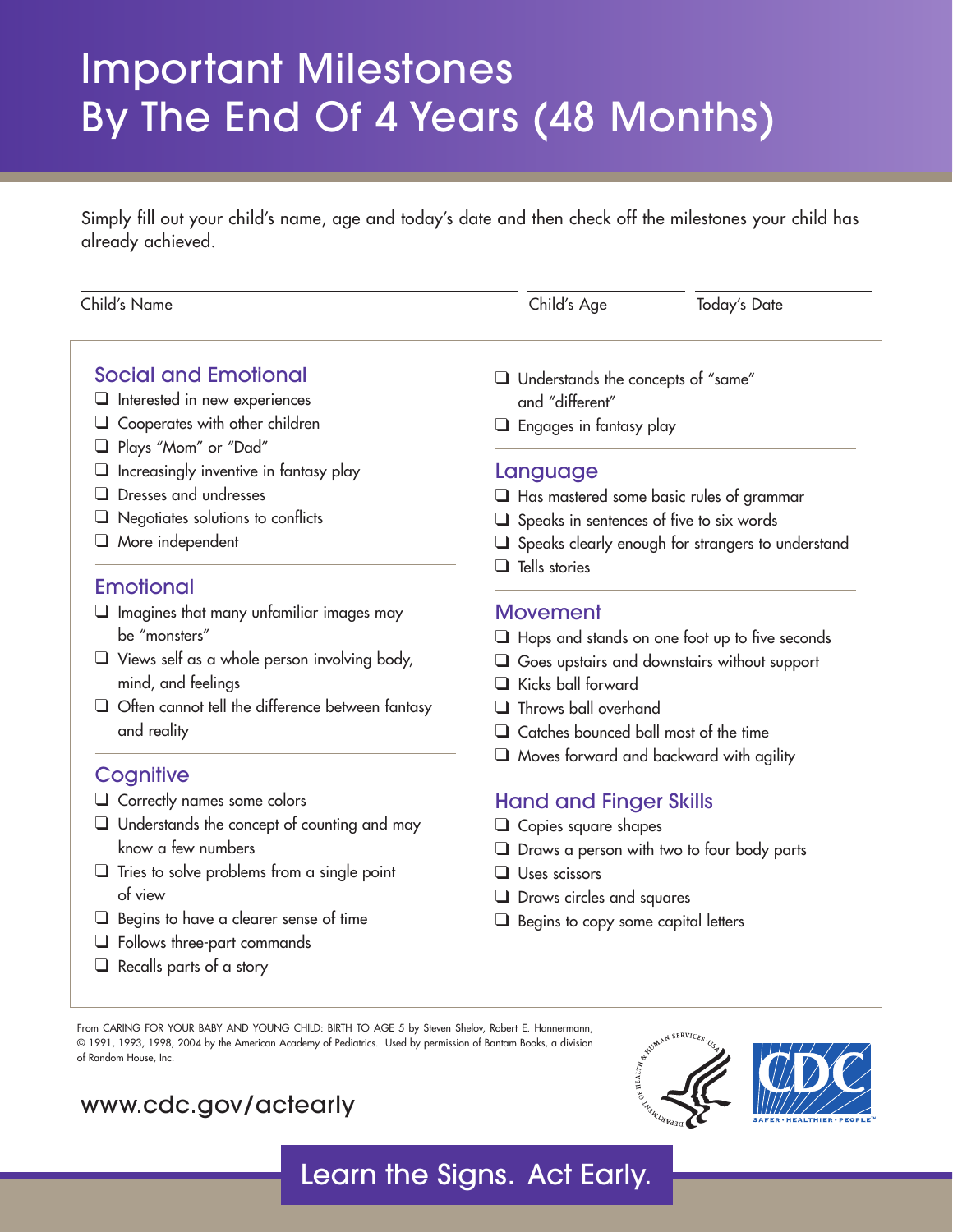# Important Milestones By The End Of 4 Years (48 Months)

Simply fill out your child's name, age and today's date and then check off the milestones your child has already achieved.

| Child's Name                                                                                                                                                                                                                                                                                                    | Child's Age                                                                                                                                                                                                                                                                                   | <b>Today's Date</b> |  |
|-----------------------------------------------------------------------------------------------------------------------------------------------------------------------------------------------------------------------------------------------------------------------------------------------------------------|-----------------------------------------------------------------------------------------------------------------------------------------------------------------------------------------------------------------------------------------------------------------------------------------------|---------------------|--|
| <b>Social and Emotional</b><br>$\Box$ Interested in new experiences<br>$\Box$ Cooperates with other children<br>Plays "Mom" or "Dad"<br>$\Box$ Increasingly inventive in fantasy play<br>Dresses and undresses<br>$\Box$ Negotiates solutions to conflicts<br>$\Box$ More independent                           | Understands the concepts of "same"<br>and "different"<br>$\Box$ Engages in fantasy play<br>Language<br>$\Box$ Has mastered some basic rules of grammar<br>$\Box$ Speaks in sentences of five to six words<br>$\Box$ Speaks clearly enough for strangers to understand<br>$\Box$ Tells stories |                     |  |
| <b>Emotional</b><br>$\Box$ Imagines that many unfamiliar images may<br>be "monsters"<br>$\Box$ Views self as a whole person involving body,<br>mind, and feelings<br>$\Box$ Often cannot tell the difference between fantasy<br>and reality                                                                     | <b>Movement</b><br>$\Box$ Hops and stands on one foot up to five seconds<br>$\Box$ Goes upstairs and downstairs without support<br>Kicks ball forward<br>Throws ball overhand<br>Catches bounced ball most of the time                                                                        |                     |  |
| Cognitive<br>$\Box$ Correctly names some colors<br>$\Box$ Understands the concept of counting and may<br>know a few numbers<br>$\Box$ Tries to solve problems from a single point<br>of view<br>$\Box$ Begins to have a clearer sense of time<br>Follows three-part commands<br>$\Box$ Recalls parts of a story | $\Box$ Moves forward and backward with agility<br><b>Hand and Finger Skills</b><br>$\Box$ Copies square shapes<br>$\Box$ Draws a person with two to four body parts<br>$\Box$ Uses scissors<br>$\Box$ Draws circles and squares<br>Begins to copy some capital letters                        |                     |  |

© 1991, 1993, 1998, 2004 by the American Academy of Pediatrics. Used by permission of Bantam Books, a division of Random House, Inc.

### <www.cdc.gov/actearly>